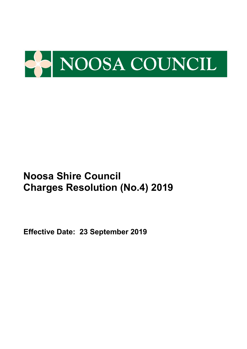

**Effective Date: 23 September 2019**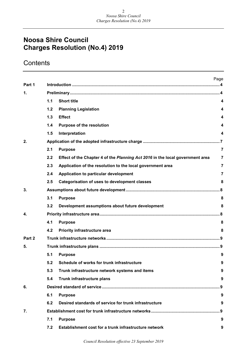## **Contents**

|        |     |                                                                               | Page           |
|--------|-----|-------------------------------------------------------------------------------|----------------|
| Part 1 |     |                                                                               |                |
| 1.     |     |                                                                               |                |
|        | 1.1 | <b>Short title</b>                                                            | 4              |
|        | 1.2 | <b>Planning Legislation</b>                                                   | 4              |
|        | 1.3 | <b>Effect</b>                                                                 | 4              |
|        | 1.4 | <b>Purpose of the resolution</b>                                              | 4              |
|        | 1.5 | Interpretation                                                                | 4              |
| 2.     |     |                                                                               |                |
|        | 2.1 | <b>Purpose</b>                                                                | $\overline{7}$ |
|        | 2.2 | Effect of the Chapter 4 of the Planning Act 2016 in the local government area | 7              |
|        | 2.3 | Application of the resolution to the local government area                    | 7              |
|        | 2.4 | Application to particular development                                         | 7              |
|        | 2.5 | <b>Categorisation of uses to development classes</b>                          | 8              |
| 3.     |     |                                                                               |                |
|        | 3.1 | <b>Purpose</b>                                                                | 8              |
|        | 3.2 | Development assumptions about future development                              | 8              |
| 4.     |     |                                                                               |                |
|        | 4.1 | <b>Purpose</b>                                                                | 8              |
|        | 4.2 | <b>Priority infrastructure area</b>                                           | 8              |
| Part 2 |     |                                                                               |                |
| 5.     |     |                                                                               |                |
|        | 5.1 | <b>Purpose</b>                                                                | 9              |
|        | 5.2 | Schedule of works for trunk infrastructure                                    | У              |
|        | 5.3 | Trunk infrastructure network systems and items                                | 9              |
|        | 5.4 | Trunk infrastructure plans                                                    | 9              |
| 6.     |     |                                                                               | . 9            |
|        | 6.1 | <b>Purpose</b>                                                                | 9              |
|        | 6.2 | Desired standards of service for trunk infrastructure                         | 9              |
| 7.     |     |                                                                               | . . 9          |
|        | 7.1 | <b>Purpose</b>                                                                | 9              |
|        | 7.2 | Establishment cost for a trunk infrastructure network                         | 9              |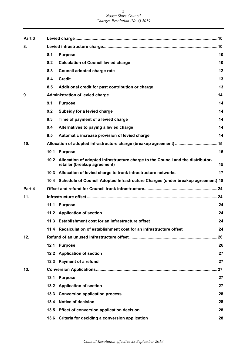| Part 3 |     |                                                                                                                      |     |
|--------|-----|----------------------------------------------------------------------------------------------------------------------|-----|
| 8.     |     |                                                                                                                      |     |
|        | 8.1 | <b>Purpose</b>                                                                                                       | 10  |
|        | 8.2 | <b>Calculation of Council levied charge</b>                                                                          | 10  |
|        | 8.3 | Council adopted charge rate                                                                                          | 12  |
|        | 8.4 | <b>Credit</b>                                                                                                        | 13  |
|        | 8.5 | Additional credit for past contribution or charge                                                                    | 13  |
| 9.     |     |                                                                                                                      |     |
|        | 9.1 | <b>Purpose</b>                                                                                                       | 14  |
|        | 9.2 | Subsidy for a levied charge                                                                                          | 14  |
|        | 9.3 | Time of payment of a levied charge                                                                                   | 14  |
|        | 9.4 | Alternatives to paying a levied charge                                                                               | 14  |
|        | 9.5 | Automatic increase provision of levied charge                                                                        | 14  |
| 10.    |     |                                                                                                                      |     |
|        |     | 10.1 Purpose                                                                                                         | 15  |
|        |     | 10.2 Allocation of adopted infrastructure charge to the Council and the distributor-<br>retailer (breakup agreement) | 15  |
|        |     | 10.3 Allocation of levied charge to trunk infrastructure networks                                                    | 17  |
|        |     | 10.4 Schedule of Council Adopted Infrastructure Charges (under breakup agreement) 18                                 |     |
| Part 4 |     |                                                                                                                      |     |
| 11.    |     |                                                                                                                      |     |
|        |     | 11.1 Purpose                                                                                                         | 24  |
|        |     | 11.2 Application of section                                                                                          | 24  |
|        |     | 11.3 Establishment cost for an infrastructure offset                                                                 | 24  |
|        |     | 11.4 Recalculation of establishment cost for an infrastructure offset                                                | 24  |
| 12.    |     |                                                                                                                      | .26 |
|        |     | 12.1 Purpose                                                                                                         | 26  |
|        |     | 12.2 Application of section                                                                                          | 27  |
|        |     | 12.3 Payment of a refund                                                                                             | 27  |
| 13.    |     |                                                                                                                      | .27 |
|        |     | 13.1 Purpose                                                                                                         | 27  |
|        |     | 13.2 Application of section                                                                                          | 27  |
|        |     | 13.3 Conversion application process                                                                                  | 28  |
|        |     | 13.4 Notice of decision                                                                                              | 28  |
|        |     | 13.5 Effect of conversion application decision                                                                       | 28  |
|        |     | 13.6 Criteria for deciding a conversion application                                                                  | 28  |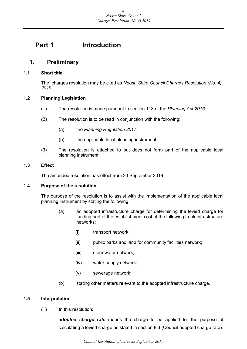## <span id="page-3-0"></span>**Part 1 Introduction**

## <span id="page-3-1"></span>**1. Preliminary**

#### <span id="page-3-2"></span>**1.1 Short title**

The charges resolution may be cited as *Noosa Shire Council Charges Resolution (No. 4) 2019*.

#### <span id="page-3-3"></span>**1.2 Planning Legislation**

- (1) The resolution is made pursuant to section 113 of the *Planning Act 2016*.
- (2) The resolution is to be read in conjunction with the following:
	- (a) the *Planning Regulation 2017*;
	- (b) the applicable local planning instrument.
- (3) The resolution is attached to but does not form part of the applicable local planning instrument.

#### <span id="page-3-4"></span>**1.3 Effect**

The amended resolution has effect from 23 September 2019.

#### <span id="page-3-5"></span>**1.4 Purpose of the resolution**

The purpose of the resolution is to assist with the implementation of the applicable local planning instrument by stating the following:

- (a) an adopted infrastructure charge for determining the levied charge for funding part of the establishment cost of the following trunk infrastructure networks:
	- (i) transport network;
	- (ii) public parks and land for community facilities network;
	- (iii) stormwater network;
	- (iv) water supply network;
	- (v) sewerage network;
- (b) stating other matters relevant to the adopted infrastructure charge.

#### <span id="page-3-6"></span>**1.5 Interpretation**

 $(1)$  In this resolution:

*adopted charge rate* means the charge to be applied for the purpose of calculating a levied charge as stated in section 8.3 (Council adopted charge rate).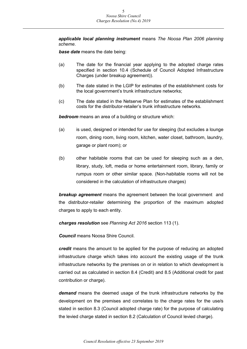*applicable local planning instrument* means *The Noosa Plan 2006 planning scheme*.

*base date* means the date being:

- (a) The date for the financial year applying to the adopted charge rates specified in section 10.4 (Schedule of Council Adopted Infrastructure Charges (under breakup agreement)).
- (b) The date stated in the LGIP for estimates of the establishment costs for the local government's trunk infrastructure networks;
- (c) The date stated in the Netserve Plan for estimates of the establishment costs for the distributor-retailer's trunk infrastructure networks.

*bedroom* means an area of a building or structure which:

- (a) is used, designed or intended for use for sleeping (but excludes a lounge room, dining room, living room, kitchen, water closet, bathroom, laundry, garage or plant room); or
- (b) other habitable rooms that can be used for sleeping such as a den, library, study, loft, media or home entertainment room, library, family or rumpus room or other similar space. (Non-habitable rooms will not be considered in the calculation of infrastructure charges)

*breakup agreement* means the agreement between the local government and the distributor-retailer determining the proportion of the maximum adopted charges to apply to each entity.

*charges resolution* see *Planning Act 2016* section 113 (1).

*Council* means Noosa Shire Council.

*credit* means the amount to be applied for the purpose of reducing an adopted infrastructure charge which takes into account the existing usage of the trunk infrastructure networks by the premises on or in relation to which development is carried out as calculated in section 8.4 (Credit) and 8.5 (Additional credit for past contribution or charge).

*demand* means the deemed usage of the trunk infrastructure networks by the development on the premises and correlates to the charge rates for the use/s stated in section 8.3 (Council adopted charge rate) for the purpose of calculating the levied charge stated in section 8.2 (Calculation of Council levied charge).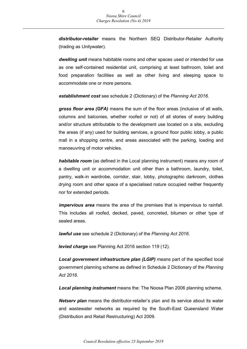*distributor-retailer* means the Northern SEQ Distributor-Retailer Authority (trading as Unitywater).

*dwelling unit* means habitable rooms and other spaces used or intended for use as one self-contained residential unit, comprising at least bathroom, toilet and food preparation facilities as well as other living and sleeping space to accommodate one or more persons.

*establishment cost* see schedule 2 (Dictionary) of the *Planning Act 2016*.

*gross floor area (GFA)* means the sum of the floor areas (inclusive of all walls, columns and balconies, whether roofed or not) of all stories of every building and/or structure attributable to the development use located on a site, excluding the areas (if any) used for building services, a ground floor public lobby, a public mall in a shopping centre, and areas associated with the parking, loading and manoeuvring of motor vehicles.

*habitable room* (as defined in the Local planning instrument) means any room of a dwelling unit or accommodation unit other than a bathroom, laundry, toilet, pantry, walk-in wardrobe, corridor, stair, lobby, photographic darkroom, clothes drying room and other space of a specialised nature occupied neither frequently nor for extended periods.

*impervious area* means the area of the premises that is impervious to rainfall. This includes all roofed, decked, paved, concreted, bitumen or other type of sealed areas.

*lawful use* see schedule 2 (Dictionary) of the *Planning Act 2016*.

*levied charge* see Planning Act 2016 section 119 (12).

*Local government infrastructure plan (LGIP)* means part of the specified local government planning scheme as defined in Schedule 2 Dictionary of the *Planning Act 2016*.

*Local planning instrument* means the: The Noosa Plan 2006 planning scheme.

*Netserv plan* means the distributor-retailer's plan and its service about its water and wastewater networks as required by the South-East Queensland Water (Distribution and Retail Restructuring) Act 2009.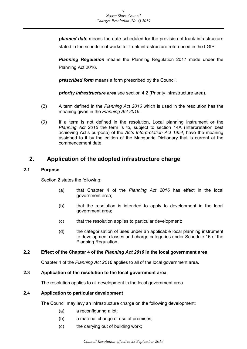*planned date* means the date scheduled for the provision of trunk infrastructure stated in the schedule of works for trunk infrastructure referenced in the LGIP.

*Planning Regulation* means the Planning Regulation 2017 made under the Planning Act 2016.

*prescribed form* means a form prescribed by the Council.

*priority infrastructure area* see section 4.2 (Priority infrastructure area).

- (2) A term defined in the *Planning Act 2016* which is used in the resolution has the meaning given in the *Planning Act 2016*.
- (3) If a term is not defined in the resolution, Local planning instrument or the *Planning Act 2016* the term is to, subject to section 14A (Interpretation best achieving Act's purpose) of the *Acts Interpretation Act 1954*, have the meaning assigned to it by the edition of the Macquarie Dictionary that is current at the commencement date.

## <span id="page-6-0"></span>**2. Application of the adopted infrastructure charge**

#### <span id="page-6-1"></span>**2.1 Purpose**

Section 2 states the following:

- (a) that Chapter 4 of the *Planning Act 2016* has effect in the local government area;
- (b) that the resolution is intended to apply to development in the local government area;
- (c) that the resolution applies to particular development;
- (d) the categorisation of uses under an applicable local planning instrument to development classes and charge categories under Schedule 16 of the Planning Regulation.

#### <span id="page-6-2"></span>**2.2 Effect of the Chapter 4 of the** *Planning Act 2016* **in the local government area**

Chapter 4 of the *Planning Act 2016* applies to all of the local government area.

#### <span id="page-6-3"></span>**2.3 Application of the resolution to the local government area**

The resolution applies to all development in the local government area.

#### <span id="page-6-4"></span>**2.4 Application to particular development**

The Council may levy an infrastructure charge on the following development:

- (a) a reconfiguring a lot;
- (b) a material change of use of premises;
- (c) the carrying out of building work;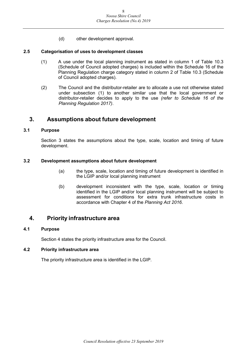(d) other development approval.

#### <span id="page-7-0"></span>**2.5 Categorisation of uses to development classes**

- (1) A use under the local planning instrument as stated in column 1 of Table 10.3 (Schedule of Council adopted charges) is included within the Schedule 16 of the Planning Regulation charge category stated in column 2 of Table 10.3 (Schedule of Council adopted charges).
- (2) The Council and the distributor-retailer are to allocate a use not otherwise stated under subsection (1) to another similar use that the local government or distributor-retailer decides to apply to the use *(refer to Schedule 16 of the Planning Regulation 2017)*.

### <span id="page-7-1"></span>**3. Assumptions about future development**

#### <span id="page-7-2"></span>**3.1 Purpose**

Section 3 states the assumptions about the type, scale, location and timing of future development.

#### <span id="page-7-3"></span>**3.2 Development assumptions about future development**

- (a) the type, scale, location and timing of future development is identified in the LGIP and/or local planning instrument
- (b) development inconsistent with the type, scale, location or timing identified in the LGIP and/or local planning instrument will be subject to assessment for conditions for extra trunk infrastructure costs in accordance with Chapter 4 of the *Planning Act 2016*.

### <span id="page-7-4"></span>**4. Priority infrastructure area**

#### <span id="page-7-5"></span>**4.1 Purpose**

Section 4 states the priority infrastructure area for the Council.

#### <span id="page-7-6"></span>**4.2 Priority infrastructure area**

The priority infrastructure area is identified in the LGIP.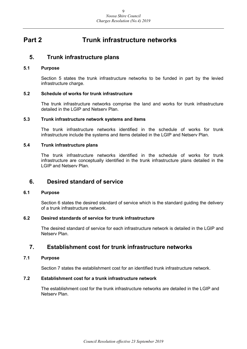## <span id="page-8-0"></span>**Part 2 Trunk infrastructure networks**

### <span id="page-8-1"></span>**5. Trunk infrastructure plans**

#### <span id="page-8-2"></span>**5.1 Purpose**

Section 5 states the trunk infrastructure networks to be funded in part by the levied infrastructure charge.

#### <span id="page-8-3"></span>**5.2 Schedule of works for trunk infrastructure**

The trunk infrastructure networks comprise the land and works for trunk infrastructure detailed in the LGIP and Netserv Plan.

#### <span id="page-8-4"></span>**5.3 Trunk infrastructure network systems and items**

The trunk infrastructure networks identified in the schedule of works for trunk infrastructure include the systems and items detailed in the LGIP and Netserv Plan.

#### <span id="page-8-5"></span>**5.4 Trunk infrastructure plans**

The trunk infrastructure networks identified in the schedule of works for trunk infrastructure are conceptually identified in the trunk infrastructure plans detailed in the LGIP and Netserv Plan.

### <span id="page-8-6"></span>**6. Desired standard of service**

#### <span id="page-8-7"></span>**6.1 Purpose**

Section 6 states the desired standard of service which is the standard guiding the delivery of a trunk infrastructure network.

#### <span id="page-8-8"></span>**6.2 Desired standards of service for trunk infrastructure**

The desired standard of service for each infrastructure network is detailed in the LGIP and Netserv Plan.

## <span id="page-8-9"></span>**7. Establishment cost for trunk infrastructure networks**

#### <span id="page-8-10"></span>**7.1 Purpose**

Section 7 states the establishment cost for an identified trunk infrastructure network.

#### <span id="page-8-11"></span>**7.2 Establishment cost for a trunk infrastructure network**

The establishment cost for the trunk infrastructure networks are detailed in the LGIP and Netserv Plan.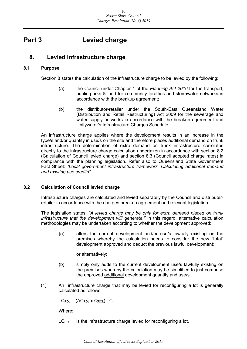## <span id="page-9-0"></span>**Part 3 Levied charge**

## <span id="page-9-1"></span>**8. Levied infrastructure charge**

#### <span id="page-9-2"></span>**8.1 Purpose**

Section 8 states the calculation of the infrastructure charge to be levied by the following:

- (a) the Council under Chapter 4 of the *Planning Act 2016* for the transport, public parks & land for community facilities and stormwater networks in accordance with the breakup agreement;
- (b) the distributor-retailer under the South-East Queensland Water (Distribution and Retail Restructuring) Act 2009 for the sewerage and water supply networks in accordance with the breakup agreement and Unitywater's Infrastructure Charges Schedule.

An infrastructure charge applies where the development results in an increase in the type/s and/or quantity in use/s on the site and therefore places additional demand on trunk infrastructure. The determination of extra demand on trunk infrastructure correlates directly to the infrastructure charge calculation undertaken in accordance with section 8.2 (Calculation of Council levied charge) and section 8.3 (Council adopted charge rates) in compliance with the planning legislation. Refer also to Queensland State Government Fact Sheet: *"Local government infrastructure framework, Calculating additional demand and existing use credits"*.

#### <span id="page-9-3"></span>**8.2 Calculation of Council levied charge**

Infrastructure charges are calculated and levied separately by the Council and distributerretailer in accordance with the charges breakup agreement and relevant legislation.

The legislation states: *"A levied charge may be only for extra demand placed on trunk infrastructure that the development will generate."* In this regard, alternative calculation methodologies may be undertaken according to whether the development approved:

(a) alters the current development and/or use/s lawfully existing on the premises whereby the calculation needs to consider the new "total" development approved and deduct the previous lawful development;

or alternatively:

- (b) simply only adds to the current development use/s lawfully existing on the premises whereby the calculation may be simplified to just comprise the approved additional development quantity and use/s.
- (1) An infrastructure charge that may be levied for reconfiguring a lot is generally calculated as follows:

 $LC_{\text{ROL}} = (AC_{\text{ROL}} \times Q_{\text{ROL}}) - C$ 

Where:

 $LC_{\text{ROI}}$  is the infrastructure charge levied for reconfiguring a lot.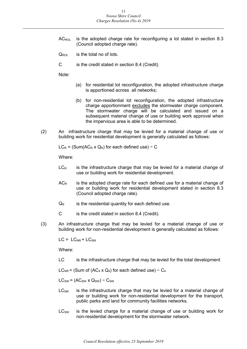- $AC_{\text{ROI}}$  is the adopted charge rate for reconfiguring a lot stated in section 8.3 (Council adopted charge rate).
- $Q_{\text{ROI}}$  is the total no of lots.
- C is the credit stated in section 8.4 (Credit).

Note:

- (a) for residential lot reconfiguration, the adopted infrastructure charge is apportioned across all networks;
- (b) for non-residential lot reconfiguration, the adopted infrastructure charge apportionment excludes the stormwater charge component. The stormwater charge will be calculated and issued on a subsequent material change of use or building work approval when the impervious area is able to be determined.
- (2) An infrastructure charge that may be levied for a material change of use or building work for residential development is generally calculated as follows:

 $LC_R$  = (Sum(AC<sub>R</sub> x Q<sub>R</sub>) for each defined use) – C

Where:

- $LC<sub>R</sub>$  is the infrastructure charge that may be levied for a material change of use or building work for residential development.
- $AC<sub>R</sub>$  is the adopted charge rate for each defined use for a material change of use or building work for residential development stated in section 8.3 (Council adopted charge rate).
- $Q_R$  is the residential quantity for each defined use.
- C is the credit stated in section 8.4 (Credit).
- (3) An infrastructure charge that may be levied for a material change of use or building work for non-residential development is generally calculated as follows:

 $LC = LC_{NR} + LC_{SW}$ 

Where:

LC is the infrastructure charge that may be levied for the total development

LC<sub>NR</sub> = (Sum of (AC<sub>4</sub> x Q<sub>4</sub>) for each defined use) – C<sub>4</sub>

 $LC_{SW} = (AC_{SW} \times Q_{SW}) - C_{SW}$ 

- $LC<sub>NR</sub>$  is the infrastructure charge that may be levied for a material change of use or building work for non-residential development for the transport, public parks and land for community facilities networks.
- $LC<sub>SW</sub>$  is the levied charge for a material change of use or building work for non-residential development for the stormwater network.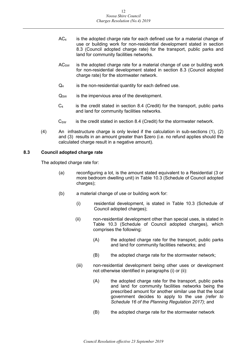- $AC<sub>4</sub>$  is the adopted charge rate for each defined use for a material change of use or building work for non-residential development stated in section 8.3 (Council adopted charge rate) for the transport, public parks and land for community facilities networks.
- $AC<sub>SW</sub>$  is the adopted charge rate for a material change of use or building work for non-residential development stated in section 8.3 (Council adopted charge rate) for the stormwater network.
- $Q_4$  is the non-residential quantity for each defined use.
- $Q_{SW}$  is the impervious area of the development.
- $C_4$  is the credit stated in section 8.4 (Credit) for the transport, public parks and land for community facilities networks.
- $C_{SW}$  is the credit stated in section 8.4 (Credit) for the stormwater network.
- (4) An infrastructure charge is only levied if the calculation in sub-sections (1), (2) and (3) results in an amount greater than \$zero (i.e. no refund applies should the calculated charge result in a negative amount).

#### <span id="page-11-0"></span>**8.3 Council adopted charge rate**

The adopted charge rate for:

- (a) reconfiguring a lot, is the amount stated equivalent to a Residential (3 or more bedroom dwelling unit) in Table 10.3 (Schedule of Council adopted charges);
- (b) a material change of use or building work for:
	- (i) residential development, is stated in Table 10.3 (Schedule of Council adopted charges);
	- (ii) non-residential development other than special uses, is stated in Table 10.3 (Schedule of Council adopted charges), which comprises the following:
		- (A) the adopted charge rate for the transport, public parks and land for community facilities networks; and
		- (B) the adopted charge rate for the stormwater network;
	- (iii) non-residential development being other uses or development not otherwise identified in paragraphs (i) or (ii):
		- (A) the adopted charge rate for the transport, public parks and land for community facilities networks being the prescribed amount for another similar use that the local government decides to apply to the use *(refer to Schedule 16 of the Planning Regulation 2017)*; and
		- (B) the adopted charge rate for the stormwater network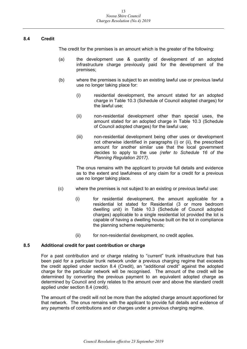#### <span id="page-12-0"></span>**8.4 Credit**

The credit for the premises is an amount which is the greater of the following:

- (a) the development use & quantity of development of an adopted infrastructure charge previously paid for the development of the premises;
- (b) where the premises is subject to an existing lawful use or previous lawful use no longer taking place for:
	- (i) residential development, the amount stated for an adopted charge in Table 10.3 (Schedule of Council adopted charges) for the lawful use;
	- (ii) non-residential development other than special uses, the amount stated for an adopted charge in Table 10.3 (Schedule of Council adopted charges) for the lawful use;
	- (iii) non-residential development being other uses or development not otherwise identified in paragraphs (i) or (ii), the prescribed amount for another similar use that the local government decides to apply to the use *(refer to Schedule 16 of the Planning Regulation 2017)*.

The onus remains with the applicant to provide full details and evidence as to the extent and lawfulness of any claim for a credit for a previous use no longer taking place.

- (c) where the premises is not subject to an existing or previous lawful use:
	- (i) for residential development, the amount applicable for a residential lot stated for Residential (3 or more bedroom dwelling unit) in Table 10.3 (Schedule of Council adopted charges) applicable to a single residential lot provided the lot is capable of having a dwelling house built on the lot in compliance the planning scheme requirements;
	- (ii) for non-residential development, no credit applies.

#### <span id="page-12-1"></span>**8.5 Additional credit for past contribution or charge**

For a past contribution and or charge relating to "current" trunk infrastructure that has been paid for a particular trunk network under a previous charging regime that exceeds the credit applied under section 8.4 (Credit), an "additional credit" against the adopted charge for the particular network will be recognised. The amount of the credit will be determined by converting the previous payment to an equivalent adopted charge as determined by Council and only relates to the amount over and above the standard credit applied under section 8.4 (credit).

The amount of the credit will not be more than the adopted charge amount apportioned for that network. The onus remains with the applicant to provide full details and evidence of any payments of contributions and or charges under a previous charging regime.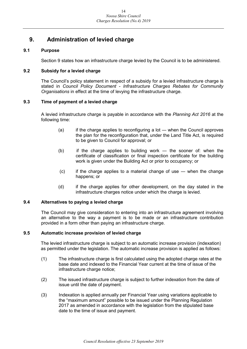## <span id="page-13-0"></span>**9. Administration of levied charge**

#### <span id="page-13-1"></span>**9.1 Purpose**

Section 9 states how an infrastructure charge levied by the Council is to be administered.

#### <span id="page-13-2"></span>**9.2 Subsidy for a levied charge**

The Council's policy statement in respect of a subsidy for a levied infrastructure charge is stated in *Council Policy Document - Infrastructure Charges Rebates for Community Organisations* in effect at the time of levying the infrastructure charge.

#### <span id="page-13-3"></span>**9.3 Time of payment of a levied charge**

A levied infrastructure charge is payable in accordance with the *Planning Act 2016* at the following time:

- $(a)$  if the charge applies to reconfiguring a lot when the Council approves the plan for the reconfiguration that, under the Land Title Act, is required to be given to Council for approval; or
- (b) if the charge applies to building work ― the sooner of: when the certificate of classification or final inspection certificate for the building work is given under the Building Act or prior to occupancy; or
- (c) if the charge applies to a material change of use ― when the change happens; or
- (d) if the charge applies for other development, on the day stated in the infrastructure charges notice under which the charge is levied.

#### <span id="page-13-4"></span>**9.4 Alternatives to paying a levied charge**

The Council may give consideration to entering into an infrastructure agreement involving an alternative to the way a payment is to be made or an infrastructure contribution provided in a form other than paying an infrastructure charge.

#### <span id="page-13-5"></span>**9.5 Automatic increase provision of levied charge**

The levied infrastructure charge is subject to an automatic increase provision (indexation) as permitted under the legislation. The automatic increase provision is applied as follows:

- (1) The infrastructure charge is first calculated using the adopted charge rates at the base date and indexed to the Financial Year current at the time of issue of the infrastructure charge notice;
- (2) The issued infrastructure charge is subject to further indexation from the date of issue until the date of payment.
- (3) Indexation is applied annually per Financial Year using variations applicable to the "maximum amount" possible to be issued under the Planning Regulation 2017 as amended in accordance with the legislation from the stipulated base date to the time of issue and payment.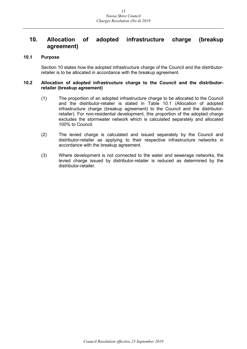### <span id="page-14-0"></span>**10. Allocation of adopted infrastructure charge (breakup agreement)**

#### <span id="page-14-1"></span>**10.1 Purpose**

Section 10 states how the adopted infrastructure charge of the Council and the distributorretailer is to be allocated in accordance with the breakup agreement.

#### <span id="page-14-2"></span>**10.2 Allocation of adopted infrastructure charge to the Council and the distributorretailer (breakup agreement)**

- (1) The proportion of an adopted infrastructure charge to be allocated to the Council and the distributor-retailer is stated in Table 10.1 (Allocation of adopted infrastructure charge (breakup agreement) to the Council and the distributorretailer). For non-residential development, this proportion of the adopted charge excludes the stormwater network which is calculated separately and allocated 100% to Council.
- (2) The levied charge is calculated and issued separately by the Council and distributor-retailer as applying to their respective infrastructure networks in accordance with the breakup agreement.
- (3) Where development is not connected to the water and sewerage networks, the levied charge issued by distributor-retailer is reduced as determined by the distributor-retailer.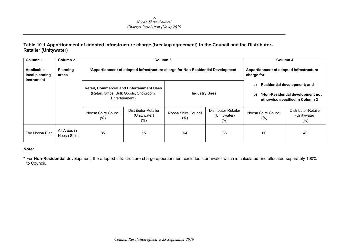#### **Table 10.1 Apportionment of adopted infrastructure charge (breakup agreement) to the Council and the Distributor-Retailer (Unitywater)**

| Column <sub>1</sub>                        | Column 2                    |                                                                                                              | Column 3                                                                        |                                                        | Column 4                                       |                                                                                                                        |                                                 |  |
|--------------------------------------------|-----------------------------|--------------------------------------------------------------------------------------------------------------|---------------------------------------------------------------------------------|--------------------------------------------------------|------------------------------------------------|------------------------------------------------------------------------------------------------------------------------|-------------------------------------------------|--|
| Applicable<br>local planning<br>instrument | <b>Planning</b><br>areas    |                                                                                                              | *Apportionment of adopted infrastructure charge for Non-Residential Development | Apportionment of adopted infrastructure<br>charge for: |                                                |                                                                                                                        |                                                 |  |
|                                            |                             | <b>Retail, Commercial and Entertainment Uses</b><br>(Retail, Office, Bulk Goods, Showroom,<br>Entertainment) |                                                                                 | <b>Industry Uses</b>                                   |                                                | a)<br><b>Residential development; and</b><br>b)<br>*Non-Residential development not<br>otherwise specified in Column 3 |                                                 |  |
|                                            |                             | Noosa Shire Council<br>(%)                                                                                   | Distributor-Retailer<br>(Unitywater)<br>$(\% )$                                 | Noosa Shire Council<br>$(\%)$                          | Distributor-Retailer<br>(Unitywater)<br>$(\%)$ | Noosa Shire Council<br>(% )                                                                                            | Distributor-Retailer<br>(Unitywater)<br>$(\% )$ |  |
| The Noosa Plan                             | All Areas in<br>Noosa Shire | 85                                                                                                           | 15                                                                              | 64                                                     | 36                                             | 60                                                                                                                     | 40                                              |  |

#### **Note:**

**\*** For **Non-Residential** development, the adopted infrastructure charge apportionment excludes stormwater which is calculated and allocated separately 100% to Council.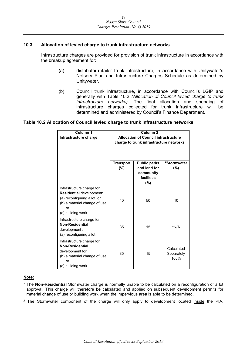#### <span id="page-16-0"></span>**10.3 Allocation of levied charge to trunk infrastructure networks**

Infrastructure charges are provided for provision of trunk infrastructure in accordance with the breakup agreement for:

- (a) distributor-retailer trunk infrastructure, in accordance with Unitywater's Netserv Plan and Infrastructure Charges Schedule as determined by Unitywater.
- (b) Council trunk infrastructure, in accordance with Council's LGIP and generally with Table 10.2 *(Allocation of Council levied charge to trunk infrastructure networks)*. The final allocation and spending of infrastructure charges collected for trunk infrastructure will be determined and administered by Council's Finance Department.

#### **Table 10.2 Allocation of Council levied charge to trunk infrastructure networks**

| Column <sub>1</sub><br>Infrastructure charge                                                                                                            | Column <sub>2</sub><br><b>Allocation of Council infrastructure</b><br>charge to trunk infrastructure networks |                                                                       |                                  |
|---------------------------------------------------------------------------------------------------------------------------------------------------------|---------------------------------------------------------------------------------------------------------------|-----------------------------------------------------------------------|----------------------------------|
|                                                                                                                                                         | <b>Transport</b><br>(%)                                                                                       | <b>Public parks</b><br>and land for<br>community<br>facilities<br>(%) | #Stormwater<br>(%)               |
| Infrastructure charge for<br><b>Residential development:</b><br>(a) reconfiguring a lot; or<br>(b) a material change of use;<br>or<br>(c) building work | 40                                                                                                            | 50                                                                    | 10                               |
| Infrastructure charge for<br>Non-Residential<br>development :<br>(a) reconfiguring a lot                                                                | 85                                                                                                            | 15                                                                    | *N/A                             |
| Infrastructure charge for<br><b>Non-Residential</b><br>development for:<br>(b) a material change of use;<br>or<br>(c) building work                     | 85                                                                                                            | 15                                                                    | Calculated<br>Separately<br>100% |

#### **Note:**

- \* The **Non-Residential** Stormwater charge is normally unable to be calculated on a reconfiguration of a lot approval. This charge will therefore be calculated and applied on subsequent development permits for material change of use or building work when the impervious area is able to be determined.
- # The Stormwater component of the charge will only apply to development located inside the PIA.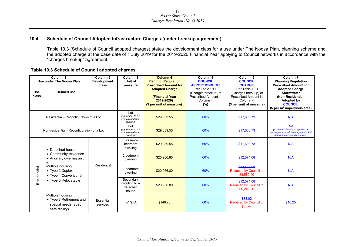#### **10.4 Schedule of Council Adopted Infrastructure Charges (under breakup agreement)**

Table 10.3 (Schedule of Council adopted charges) states the development class for a use under The Noosa Plan, planning scheme and the adopted charge at the base date of 1 July 2019 for the 2019-2020 Financial Year applying to Council networks in accordance with the "charges breakup" agreement.

#### **Table 10.3 Schedule of Council adopted charges**

<span id="page-17-0"></span>

| Column <sub>1</sub><br>Use under The Noosa Plan |                                                                                      | Column <sub>2</sub><br><b>Development</b><br>class | Column <sub>3</sub><br>Unit of<br>measure                 | Column 4<br><b>Planning Regulation</b><br><b>Prescribed Amount for</b>             | Column <sub>5</sub><br><b>COUNCIL</b><br><b>APPORTIONMENT</b><br>Per Table 10.1 | Column <sub>6</sub><br><b>COUNCIL</b><br><b>CHARGE</b><br>Per Table 10.1             | Column <sub>7</sub><br><b>Planning Regulation</b><br><b>Prescribed Amount for</b>                                                 |
|-------------------------------------------------|--------------------------------------------------------------------------------------|----------------------------------------------------|-----------------------------------------------------------|------------------------------------------------------------------------------------|---------------------------------------------------------------------------------|--------------------------------------------------------------------------------------|-----------------------------------------------------------------------------------------------------------------------------------|
| <b>Use</b><br>class                             | Defined use                                                                          |                                                    |                                                           | <b>Adopted Charge</b><br>(Financial Year<br>2019-2020)<br>(\$ per unit of measure) | (Charges breakup) of<br>Prescribed Amount in<br>Column 4<br>(%)                 | (Charges breakup) of<br>Prescribed Amount in<br>Column 4<br>(\$ per unit of measure) | <b>Adopted Charge</b><br><b>Stormwater</b><br>(Non-Residential)<br>Adopted by<br><b>COUNCIL</b><br>(\$ per $m^2$ impervious area) |
| Residential - Reconfiguration of a Lot          |                                                                                      |                                                    | Lot<br>(equivalent to a 3<br>or more bedroom<br>dwelling) | \$29,339.55                                                                        | 60%                                                                             | \$17,603.73                                                                          | N/A                                                                                                                               |
|                                                 | Non-residential - Reconfiguration of a Lot                                           |                                                    | Lot<br>(equivalent to a 3<br>or more bedroom<br>dwelling) | \$29,339.55                                                                        | 60%                                                                             | \$17,603.73                                                                          | <b>Nil</b><br>(to be calculated and applied on<br>subsequent development permits that<br>determines impervious areas)             |
|                                                 | • Detached house                                                                     |                                                    | 3 or more<br>bedroom<br>dwelling                          | \$29,339.55                                                                        | 60%                                                                             | \$17,603.73                                                                          | N/A                                                                                                                               |
|                                                 | • Community residence<br>• Ancillary dwelling unit<br>&                              |                                                    | 2 bedroom<br>dwelling                                     | \$20,956.80                                                                        | 60%                                                                             | \$12,574.08                                                                          | N/A                                                                                                                               |
| Residential                                     | Multiple housing<br>• Type 2 Duplex<br>• Type 4 Conventional                         | Residential                                        | 1 bedroom<br>dwelling                                     | \$20,956.80                                                                        | 60%                                                                             | \$12.574.08<br><b>Reduced by Council to</b><br>\$8,560.00                            | N/A                                                                                                                               |
|                                                 | • Type 5 Relocatable                                                                 |                                                    | Secondary<br>dwelling to a<br>detached<br>house           | \$20.956.80                                                                        | 60%                                                                             | \$12,574.08<br><b>Reduced by Council to</b><br>\$6,249.00                            | N/A                                                                                                                               |
|                                                 | Multiple housing<br>• Type 3 Retirement and<br>special needs (aged<br>care facility) | Essential<br>services                              | m <sup>2</sup> GFA                                        | \$146.70                                                                           | 60%                                                                             | \$88.02<br><b>Reduced by Council to</b><br>\$65.44                                   | \$10.25                                                                                                                           |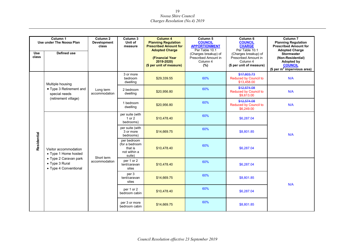|                     | Column 1<br>Use under The Noosa Plan                             | Column <sub>2</sub><br><b>Development</b><br>class   | Column 3<br>Unit of<br>measure                                     | Column 4<br><b>Planning Regulation</b><br><b>Prescribed Amount for</b><br><b>Adopted Charge</b> | Column 5<br><b>COUNCIL</b><br><b>APPORTIONMENT</b><br>Per Table 10.1 | Column 6<br><b>COUNCIL</b><br><b>CHARGE</b><br>Per Table 10.1                        | Column <sub>7</sub><br><b>Planning Regulation</b><br><b>Prescribed Amount for</b><br><b>Adopted Charge</b> |
|---------------------|------------------------------------------------------------------|------------------------------------------------------|--------------------------------------------------------------------|-------------------------------------------------------------------------------------------------|----------------------------------------------------------------------|--------------------------------------------------------------------------------------|------------------------------------------------------------------------------------------------------------|
| <b>Use</b><br>class | Defined use                                                      |                                                      |                                                                    | (Financial Year<br>2019-2020)<br>(\$ per unit of measure)                                       | (Charges breakup) of<br>Prescribed Amount in<br>Column 4<br>(%)      | (Charges breakup) of<br>Prescribed Amount in<br>Column 4<br>(\$ per unit of measure) | <b>Stormwater</b><br>(Non-Residential)<br>Adopted by<br><b>COUNCIL</b><br>(\$ per $m^2$ impervious area)   |
|                     | Multiple housing                                                 |                                                      | 3 or more<br>bedroom<br>dwelling                                   | \$29,339.55                                                                                     | 60%                                                                  | \$17,603.73<br><b>Reduced by Council to</b><br>\$13,458.00                           | N/A                                                                                                        |
|                     | • Type 3 Retirement and<br>special needs<br>(retirement village) | Long term<br>accommodation                           | 2 bedroom<br>dwelling                                              | \$20,956.80                                                                                     | 60%                                                                  | \$12,574.08<br><b>Reduced by Council to</b><br>\$9,613.00                            | N/A                                                                                                        |
|                     |                                                                  |                                                      | 1 bedroom<br>dwelling                                              | \$20,956.80                                                                                     | 60%                                                                  | \$12,574.08<br>Reduced by Council to<br>\$6,249.00                                   | N/A                                                                                                        |
|                     |                                                                  |                                                      | per suite (with<br>$1$ or $2$<br>bedrooms)                         | \$10.478.40                                                                                     | 60%                                                                  | \$6,287.04                                                                           |                                                                                                            |
|                     |                                                                  |                                                      | per suite (with<br>3 or more<br>bedrooms)                          | \$14,669.75                                                                                     | 60%                                                                  | \$8,801.85                                                                           | N/A                                                                                                        |
| Residential         | Visitor accommodation<br>• Type 1 Home hosted                    | Short term<br>• Type 2 Caravan park<br>accommodation | per bedroom<br>(for a bedroom<br>that is<br>not within a<br>suite) | \$10.478.40                                                                                     | 60%                                                                  | \$6,287.04                                                                           |                                                                                                            |
|                     | • Type 3 Rural<br>• Type 4 Conventional                          |                                                      | per 1 or 2<br>tent/caravan<br>sites                                | \$10,478.40                                                                                     | 60%                                                                  | \$6,287.04                                                                           |                                                                                                            |
|                     |                                                                  |                                                      | per 3<br>tent/caravan<br>sites                                     | \$14,669.75                                                                                     | 60%                                                                  | \$8.801.85                                                                           | N/A                                                                                                        |
|                     |                                                                  |                                                      | per 1 or 2<br>bedroom cabin                                        | \$10,478.40                                                                                     | 60%                                                                  | \$6,287.04                                                                           |                                                                                                            |
|                     |                                                                  |                                                      | per 3 or more<br>bedroom cabin                                     | \$14,669.75                                                                                     | 60%                                                                  | \$8.801.85                                                                           |                                                                                                            |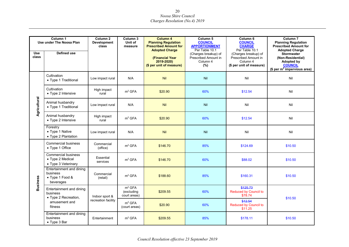|                 | Column <sub>1</sub><br>Use under The Noosa Plan                       | Column <sub>2</sub><br><b>Development</b><br>class | Column 3<br>Unit of<br>measure                   | Column 4<br><b>Planning Regulation</b><br><b>Prescribed Amount for</b><br><b>Adopted Charge</b> | Column <sub>5</sub><br><b>COUNCIL</b><br><b>APPORTIONMENT</b><br>Per Table 10.1 | Column <sub>6</sub><br><b>COUNCIL</b><br><b>CHARGE</b><br>Per Table 10.1             | Column <sub>7</sub><br><b>Planning Regulation</b><br><b>Prescribed Amount for</b><br><b>Adopted Charge</b> |
|-----------------|-----------------------------------------------------------------------|----------------------------------------------------|--------------------------------------------------|-------------------------------------------------------------------------------------------------|---------------------------------------------------------------------------------|--------------------------------------------------------------------------------------|------------------------------------------------------------------------------------------------------------|
| Use<br>class    | <b>Defined use</b>                                                    |                                                    |                                                  | (Financial Year<br>2019-2020)<br>(\$ per unit of measure)                                       | (Charges breakup) of<br>Prescribed Amount in<br>Column 4<br>(%)                 | (Charges breakup) of<br>Prescribed Amount in<br>Column 4<br>(\$ per unit of measure) | <b>Stormwater</b><br>(Non-Residential)<br>Adopted by<br><b>COUNCIL</b><br>(\$ per $m^2$ impervious area)   |
|                 | Cultivation<br>• Type 1 Traditional                                   | Low impact rural                                   | N/A                                              | Nil                                                                                             | Nil                                                                             | Nil                                                                                  | Nil                                                                                                        |
|                 | Cultivation<br>• Type 2 Intensive                                     | High impact<br>rural                               | m <sup>2</sup> GFA                               | \$20.90                                                                                         | 60%                                                                             | \$12.54                                                                              | Nil                                                                                                        |
| Agricultural    | Animal husbandry<br>• Type 1 Traditional                              | Low impact rural                                   | N/A                                              | <b>Nil</b>                                                                                      | Nil                                                                             | Nil                                                                                  | Nil                                                                                                        |
|                 | Animal husbandry<br>• Type 2 Intensive                                | High impact<br>rural                               | m <sup>2</sup> GFA                               | \$20.90                                                                                         | 60%                                                                             | \$12.54                                                                              | Nil                                                                                                        |
|                 | Forestry<br>• Type 1 Native<br>• Type 2 Plantation                    | Low impact rural                                   | N/A                                              | Nil                                                                                             | Nil                                                                             | Nil                                                                                  | Nil                                                                                                        |
|                 | <b>Commercial business</b><br>• Type 1 Office                         | Commercial<br>(office)                             | m <sup>2</sup> GFA                               | \$146.70                                                                                        | 85%                                                                             | \$124.69                                                                             | \$10.50                                                                                                    |
|                 | <b>Commercial business</b><br>• Type 2 Medical<br>• Type 3 Veterinary | Essential<br>services                              | m <sup>2</sup> GFA                               | \$146.70                                                                                        | 60%                                                                             | \$88.02                                                                              | \$10.50                                                                                                    |
| <b>Business</b> | Entertainment and dining<br>business<br>• Type 1 Food &<br>beverages  | Commercial<br>(retail)                             | m <sup>2</sup> GFA                               | \$188.60                                                                                        | 85%                                                                             | \$160.31                                                                             | \$10.50                                                                                                    |
|                 | Entertainment and dining<br>business<br>• Type 2 Recreation,          | Indoor sport &                                     | m <sup>2</sup> GFA<br>(excluding<br>court areas) | \$209.55                                                                                        | 60%                                                                             | \$125.73<br><b>Reduced by Council to</b><br>\$78.74                                  | \$10.50                                                                                                    |
|                 | amusement and<br>fitness                                              | recreation facility                                | m <sup>2</sup> GFA<br>(court areas)              | \$20.90                                                                                         | 60%                                                                             | \$12.54<br><b>Reduced by Council to</b><br>\$11.25                                   |                                                                                                            |
|                 | Entertainment and dining<br>business<br>• Type 3 Bar                  | Entertainment                                      | m <sup>2</sup> GFA                               | \$209.55                                                                                        | 85%                                                                             | \$178.11                                                                             | \$10.50                                                                                                    |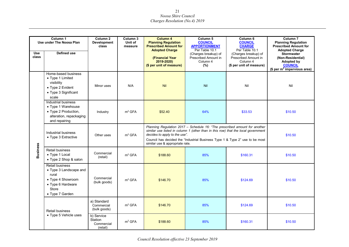|                                                                                | Column 1<br>Use under The Noosa Plan                                                                                                   | Column <sub>2</sub><br><b>Development</b><br>class               | Column <sub>3</sub><br>Unit of<br>measure                                                                                                                                                                                                       | <b>Column 4</b><br><b>Planning Regulation</b><br><b>Prescribed Amount for</b><br><b>Adopted Charge</b> | Column <sub>5</sub><br><b>COUNCIL</b><br><b>APPORTIONMENT</b><br>Per Table 10.1 | Column <sub>6</sub><br><b>COUNCIL</b><br><b>CHARGE</b><br>Per Table 10.1             | Column <sub>7</sub><br><b>Planning Regulation</b><br><b>Prescribed Amount for</b><br><b>Adopted Charge</b>      |
|--------------------------------------------------------------------------------|----------------------------------------------------------------------------------------------------------------------------------------|------------------------------------------------------------------|-------------------------------------------------------------------------------------------------------------------------------------------------------------------------------------------------------------------------------------------------|--------------------------------------------------------------------------------------------------------|---------------------------------------------------------------------------------|--------------------------------------------------------------------------------------|-----------------------------------------------------------------------------------------------------------------|
| <b>Use</b><br>class                                                            | Defined use                                                                                                                            |                                                                  |                                                                                                                                                                                                                                                 | (Financial Year<br>2019-2020)<br>(\$ per unit of measure)                                              | (Charges breakup) of<br>Prescribed Amount in<br>Column 4<br>(%)                 | (Charges breakup) of<br>Prescribed Amount in<br>Column 4<br>(\$ per unit of measure) | <b>Stormwater</b><br>(Non-Residential)<br><b>Adopted by</b><br><b>COUNCIL</b><br>(\$ per $m^2$ impervious area) |
|                                                                                | Home-based business<br>• Type 1 Limited<br>visibility<br>• Type 2 Evident<br>• Type 3 Significant<br>scale                             | Minor uses                                                       | N/A                                                                                                                                                                                                                                             | <b>Nil</b>                                                                                             | Nil                                                                             | Nil                                                                                  | Nil                                                                                                             |
|                                                                                | Industrial business<br>• Type 1 Warehouse<br>• Type 2 Production,<br>alteration, repackaging<br>and repairing                          | Industry                                                         | m <sup>2</sup> GFA                                                                                                                                                                                                                              | \$52.40                                                                                                | 64%                                                                             | \$33.53                                                                              | \$10.50                                                                                                         |
| Industrial business<br>m <sup>2</sup> GFA<br>Other uses<br>• Type 3 Extractive |                                                                                                                                        | decides to apply to the use".<br>similar use & appropriate rate. | Planning Regulation 2017 - Schedule 16: "The prescribed amount for another<br>similar use listed in column 1 (other than in this row) that the local government<br>Council has decided the "Industrial Business Type 1 & Type 2" use to be most |                                                                                                        | \$10.50                                                                         |                                                                                      |                                                                                                                 |
| <b>Business</b>                                                                | Retail business<br>• Type 1 Local<br>• Type 2 Shop & salon                                                                             | Commercial<br>(retail)                                           | m <sup>2</sup> GFA                                                                                                                                                                                                                              | \$188.60                                                                                               | 85%                                                                             | \$160.31                                                                             | \$10.50                                                                                                         |
|                                                                                | <b>Retail business</b><br>• Type 3 Landscape and<br>rural<br>• Type 4 Showroom<br>• Type 6 Hardware<br><b>Store</b><br>• Type 7 Garden | Commercial<br>(bulk goods)                                       | m <sup>2</sup> GFA                                                                                                                                                                                                                              | \$146.70                                                                                               | 85%                                                                             | \$124.69                                                                             | \$10.50                                                                                                         |
|                                                                                | <b>Retail business</b>                                                                                                                 | a) Standard<br>Commercial<br>(bulk goods)                        | m <sup>2</sup> GFA                                                                                                                                                                                                                              | \$146.70                                                                                               | 85%                                                                             | \$124.69                                                                             | \$10.50                                                                                                         |
|                                                                                | • Type 5 Vehicle uses                                                                                                                  | b) Service<br>Station<br>Commercial<br>(retail)                  | m <sup>2</sup> GFA                                                                                                                                                                                                                              | \$188.60                                                                                               | 85%                                                                             | \$160.31                                                                             | \$10.50                                                                                                         |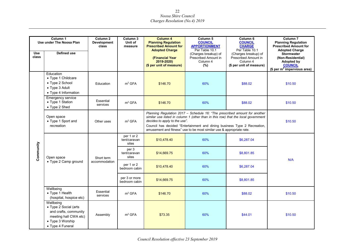|              | Column 1<br>Use under The Noosa Plan                                                                                         | Column <sub>2</sub><br><b>Development</b><br>class | Column 3<br>Unit of<br>measure | <b>Column 4</b><br><b>Planning Regulation</b><br><b>Prescribed Amount for</b><br><b>Adopted Charge</b> | Column <sub>5</sub><br><b>COUNCIL</b><br><b>APPORTIONMENT</b><br>Per Table 10.1                                                                                                                                                                                                                                       | Column 6<br><b>COUNCIL</b><br><b>CHARGE</b><br>Per Table 10.1                        | Column <sub>7</sub><br><b>Planning Regulation</b><br><b>Prescribed Amount for</b><br><b>Adopted Charge</b>      |
|--------------|------------------------------------------------------------------------------------------------------------------------------|----------------------------------------------------|--------------------------------|--------------------------------------------------------------------------------------------------------|-----------------------------------------------------------------------------------------------------------------------------------------------------------------------------------------------------------------------------------------------------------------------------------------------------------------------|--------------------------------------------------------------------------------------|-----------------------------------------------------------------------------------------------------------------|
| Use<br>class | <b>Defined use</b>                                                                                                           |                                                    |                                | (Financial Year<br>2019-2020)<br>(\$ per unit of measure)                                              | (Charges breakup) of<br>Prescribed Amount in<br>Column 4<br>(%)                                                                                                                                                                                                                                                       | (Charges breakup) of<br>Prescribed Amount in<br>Column 4<br>(\$ per unit of measure) | <b>Stormwater</b><br>(Non-Residential)<br><b>Adopted by</b><br><b>COUNCIL</b><br>(\$ per $m^2$ impervious area) |
|              | Education<br>• Type 1 Childcare<br>• Type 2 School<br>• Type 3 Adult<br>• Type 4 Information                                 | Education                                          | m <sup>2</sup> GFA             | \$146.70                                                                                               | 60%                                                                                                                                                                                                                                                                                                                   | \$88.02                                                                              | \$10.50                                                                                                         |
|              | <b>Emergency service</b><br>• Type 1 Station<br>• Type 2 Shed                                                                | Essential<br>services                              | m <sup>2</sup> GFA             | \$146.70                                                                                               | 60%                                                                                                                                                                                                                                                                                                                   | \$88.02                                                                              | \$10.50                                                                                                         |
|              | Open space<br>• Type 1 Sport and<br>recreation                                                                               | Other uses                                         | m <sup>2</sup> GFA             | decides to apply to the use".                                                                          | Planning Regulation 2017 - Schedule 16: "The prescribed amount for another<br>similar use listed in column 1 (other than in this row) that the local government<br>Council has decided "Entertainment and dining business Type 2 Recreation,<br>amusement and fitness" use to be most similar use & appropriate rate. |                                                                                      | \$10.50                                                                                                         |
|              |                                                                                                                              |                                                    |                                | \$10,478.40                                                                                            | 60%                                                                                                                                                                                                                                                                                                                   | \$6,287.04                                                                           |                                                                                                                 |
| Community    | Open space                                                                                                                   | Short term<br>accommodation                        | per 3<br>tent/caravan<br>sites | \$14,669.75                                                                                            | 60%                                                                                                                                                                                                                                                                                                                   | \$8,801.85                                                                           | N/A                                                                                                             |
|              | • Type 2 Camp ground                                                                                                         |                                                    | per 1 or 2<br>bedroom cabin    | \$10,478.40                                                                                            | 60%                                                                                                                                                                                                                                                                                                                   | \$6,287.04                                                                           |                                                                                                                 |
|              |                                                                                                                              |                                                    | per 3 or more<br>bedroom cabin | \$14,669.75                                                                                            | 60%                                                                                                                                                                                                                                                                                                                   | \$8,801.85                                                                           |                                                                                                                 |
|              | Wellbeing<br>• Type 1 Health<br>(hospital, hospice etc)                                                                      | Essential<br>services                              | m <sup>2</sup> GFA             | \$146.70                                                                                               | 60%                                                                                                                                                                                                                                                                                                                   | \$88.02                                                                              | \$10.50                                                                                                         |
|              | Wellbeing<br>• Type 2 Social (arts<br>and crafts, community<br>meeting hall CWA etc)<br>• Type 3 Worship<br>• Type 4 Funeral | Assembly                                           | m <sup>2</sup> GFA             | \$73.35                                                                                                | 60%                                                                                                                                                                                                                                                                                                                   | \$44.01                                                                              | \$10.50                                                                                                         |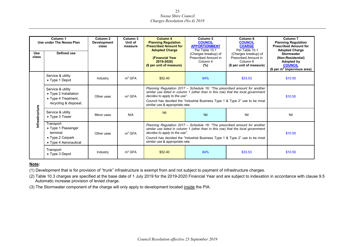|                     | Column <sub>1</sub><br>Use under The Noosa Plan                                                  | Column 2<br><b>Development</b><br>class | Column 3<br>Unit of<br>measure | Column <sub>6</sub><br>Column <sub>4</sub><br>Column 5<br><b>Planning Regulation</b><br><b>COUNCIL</b><br><b>COUNCIL</b><br><b>APPORTIONMENT</b><br><b>CHARGE</b><br><b>Prescribed Amount for</b><br>Per Table 10.1<br>Per Table 10.1<br><b>Adopted Charge</b>                                                      |                                                                                                                                                                                                                                                                                                                     | Column <sub>7</sub><br><b>Planning Regulation</b><br><b>Prescribed Amount for</b><br><b>Adopted Charge</b> |                                                                                                                 |
|---------------------|--------------------------------------------------------------------------------------------------|-----------------------------------------|--------------------------------|---------------------------------------------------------------------------------------------------------------------------------------------------------------------------------------------------------------------------------------------------------------------------------------------------------------------|---------------------------------------------------------------------------------------------------------------------------------------------------------------------------------------------------------------------------------------------------------------------------------------------------------------------|------------------------------------------------------------------------------------------------------------|-----------------------------------------------------------------------------------------------------------------|
| <b>Use</b><br>class | Defined use                                                                                      |                                         |                                | (Financial Year<br>2019-2020)<br>(\$ per unit of measure)                                                                                                                                                                                                                                                           | (Charges breakup) of<br>Prescribed Amount in<br>Column 4<br>(%)                                                                                                                                                                                                                                                     | (Charges breakup) of<br>Prescribed Amount in<br>Column 6<br>(\$ per unit of measure)                       | <b>Stormwater</b><br>(Non-Residential)<br><b>Adopted by</b><br><b>COUNCIL</b><br>(\$ per $m^2$ impervious area) |
|                     | Service & utility<br>$\bullet$ Type 1 Depot                                                      | Industry                                | m <sup>2</sup> GFA             | \$52.40                                                                                                                                                                                                                                                                                                             | 64%                                                                                                                                                                                                                                                                                                                 | \$33.53                                                                                                    | \$10.50                                                                                                         |
|                     | Service & utility<br>• Type 2 Installation<br>• Type 4 Treatment,<br>recycling & disposal;       | Other uses                              | m <sup>2</sup> GFA             |                                                                                                                                                                                                                                                                                                                     | Planning Regulation 2017 – Schedule 16: "The prescribed amount for another<br>similar use listed in column 1 (other than in this row) that the local government<br>decides to apply to the use".<br>Council has decided the "Industrial Business Type 1 & Type 2" use to be most<br>similar use & appropriate rate. |                                                                                                            | \$10.50                                                                                                         |
| nfrastructure       | Service & utility<br>$\bullet$ Type 3 Tower                                                      | Minor uses                              | N/A                            | Nil                                                                                                                                                                                                                                                                                                                 | Nil                                                                                                                                                                                                                                                                                                                 | Nil                                                                                                        | Nil                                                                                                             |
|                     | Transport<br>• Type 1 Passenger<br>terminal<br>$\bullet$ Type 2 Carpark<br>• Type 4 Aeronautical | Other uses                              | m <sup>2</sup> GFA             | Planning Regulation 2017 – Schedule 16: "The prescribed amount for another<br>similar use listed in column 1 (other than in this row) that the local government<br>decides to apply to the use".<br>Council has decided the "Industrial Business Type 1 & Type 2" use to be most<br>similar use & appropriate rate. |                                                                                                                                                                                                                                                                                                                     | \$10.50                                                                                                    |                                                                                                                 |
|                     | Transport<br>• Type 3 Depot                                                                      | Industry                                | m <sup>2</sup> GFA             | \$52.40                                                                                                                                                                                                                                                                                                             | 64%                                                                                                                                                                                                                                                                                                                 | \$33.53                                                                                                    | \$10.50                                                                                                         |

#### **Note:**

(1) Development that is for provision of "trunk" infrastructure is exempt from and not subject to payment of infrastructure charges.

(2) Table 10.3 charges are specified at the base date of 1 July 2019 for the 2019-2020 Financial Year and are subject to indexation in accordance with clause 9.5 Automatic increase provision of levied charge.

(3) The Stormwater component of the charge will only apply to development located inside the PIA.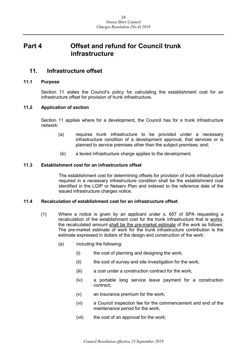## <span id="page-23-0"></span>**Part 4 Offset and refund for Council trunk infrastructure**

## <span id="page-23-1"></span>**11. Infrastructure offset**

#### <span id="page-23-2"></span>**11.1 Purpose**

Section 11 states the Council's policy for calculating the establishment cost for an infrastructure offset for provision of trunk infrastructure.

#### <span id="page-23-3"></span>**11.2 Application of section**

Section 11 applies where for a development, the Council has for a trunk infrastructure network:

- (a) requires trunk infrastructure to be provided under a necessary infrastructure condition of a development approval, that services or is planned to service premises other than the subject premises; and;
- (b) a levied infrastructure charge applies to the development.

#### <span id="page-23-4"></span>**11.3 Establishment cost for an infrastructure offset**

The establishment cost for determining offsets for provision of trunk infrastructure required in a necessary infrastructure condition shall be the establishment cost identified in the LGIP or Netserv Plan and indexed to the reference date of the issued infrastructure charges notice.

#### <span id="page-23-5"></span>**11.4 Recalculation of establishment cost for an infrastructure offset**

- (1) Where a notice is given by an applicant under s. 657 of SPA requesting a recalculation of the establishment cost for the trunk infrastructure that is works, the recalculated amount shall be the pre-market estimate of the work as follows: The pre-market estimate of work for the trunk infrastructure contribution is the estimate expressed in dollars of the design and construction of the work:
	- (a) including the following:
		- (i) the cost of planning and designing the work;
		- (ii) the cost of survey and site investigation for the work;
		- (iii) a cost under a construction contract for the work;
		- (iv) a portable long service leave payment for a construction contract;
		- (v) an insurance premium for the work;
		- (vi) a Council inspection fee for the commencement and end of the maintenance period for the work;
		- (vii) the cost of an approval for the work;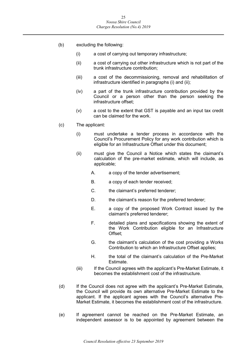- (b) excluding the following:
	- (i) a cost of carrying out temporary infrastructure;
	- (ii) a cost of carrying out other infrastructure which is not part of the trunk infrastructure contribution;
	- (iii) a cost of the decommissioning, removal and rehabilitation of infrastructure identified in paragraphs (i) and (ii);
	- (iv) a part of the trunk infrastructure contribution provided by the Council or a person other than the person seeking the infrastructure offset;
	- (v) a cost to the extent that GST is payable and an input tax credit can be claimed for the work.
- (c) The applicant:
	- (i) must undertake a tender process in accordance with the Council's Procurement Policy for any work contribution which is eligible for an Infrastructure Offset under this document;
	- (ii) must give the Council a Notice which states the claimant's calculation of the pre-market estimate, which will include, as applicable;
		- A. a copy of the tender advertisement;
		- B. a copy of each tender received;
		- C. the claimant's preferred tenderer;
		- D. the claimant's reason for the preferred tenderer;
		- E. a copy of the proposed Work Contract issued by the claimant's preferred tenderer;
		- F. detailed plans and specifications showing the extent of the Work Contribution eligible for an Infrastructure Offset;
		- G. the claimant's calculation of the cost providing a Works Contribution to which an Infrastructure Offset applies;
		- H. the total of the claimant's calculation of the Pre-Market Estimate.
	- (iii) If the Council agrees with the applicant's Pre-Market Estimate, it becomes the establishment cost of the infrastructure.
- (d) If the Council does not agree with the applicant's Pre-Market Estimate, the Council will provide its own alternative Pre-Market Estimate to the applicant. If the applicant agrees with the Council's alternative Pre-Market Estimate, it becomes the establishment cost of the infrastructure.
- (e) If agreement cannot be reached on the Pre-Market Estimate, an independent assessor is to be appointed by agreement between the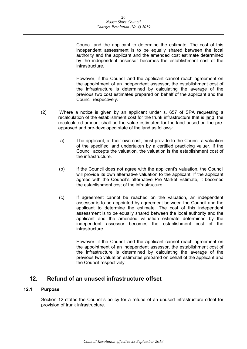Council and the applicant to determine the estimate. The cost of this independent assessment is to be equally shared between the local authority and the applicant and the amended cost estimate determined by the independent assessor becomes the establishment cost of the infrastructure.

However, if the Council and the applicant cannot reach agreement on the appointment of an independent assessor, the establishment cost of the infrastructure is determined by calculating the average of the previous two cost estimates prepared on behalf of the applicant and the Council respectively.

- (2) Where a notice is given by an applicant under s. 657 of SPA requesting a recalculation of the establishment cost for the trunk infrastructure that is land, the recalculated amount shall be the value estimated for the land based on the preapproved and pre-developed state of the land as follows:
	- a) The applicant, at their own cost, must provide to the Council a valuation of the specified land undertaken by a certified practicing valuer. If the Council accepts the valuation, the valuation is the establishment cost of the infrastructure.
	- (b) If the Council does not agree with the applicant's valuation, the Council will provide its own alternative valuation to the applicant. If the applicant agrees with the Council's alternative Pre-Market Estimate, it becomes the establishment cost of the infrastructure.
	- (c) If agreement cannot be reached on the valuation, an independent assessor is to be appointed by agreement between the Council and the applicant to determine the estimate. The cost of this independent assessment is to be equally shared between the local authority and the applicant and the amended valuation estimate determined by the independent assessor becomes the establishment cost of the infrastructure.

However, if the Council and the applicant cannot reach agreement on the appointment of an independent assessor, the establishment cost of the infrastructure is determined by calculating the average of the previous two valuation estimates prepared on behalf of the applicant and the Council respectively.

## <span id="page-25-0"></span>**12. Refund of an unused infrastructure offset**

#### <span id="page-25-1"></span>**12.1 Purpose**

Section 12 states the Council's policy for a refund of an unused infrastructure offset for provision of trunk infrastructure.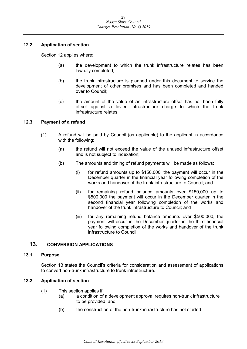#### <span id="page-26-0"></span>**12.2 Application of section**

Section 12 applies where:

- (a) the development to which the trunk infrastructure relates has been lawfully completed;
- (b) the trunk infrastructure is planned under this document to service the development of other premises and has been completed and handed over to Council;
- (c) the amount of the value of an infrastructure offset has not been fully offset against a levied infrastructure charge to which the trunk infrastructure relates.

#### <span id="page-26-1"></span>**12.3 Payment of a refund**

- (1) A refund will be paid by Council (as applicable) to the applicant in accordance with the following:
	- (a) the refund will not exceed the value of the unused infrastructure offset and is not subject to indexation;
	- (b) The amounts and timing of refund payments will be made as follows:
		- (i) for refund amounts up to \$150,000, the payment will occur in the December quarter in the financial year following completion of the works and handover of the trunk infrastructure to Council; and
		- (ii) for remaining refund balance amounts over \$150,000 up to \$500,000 the payment will occur in the December quarter in the second financial year following completion of the works and handover of the trunk infrastructure to Council; and
		- (iii) for any remaining refund balance amounts over \$500,000, the payment will occur in the December quarter in the third financial year following completion of the works and handover of the trunk infrastructure to Council.

#### <span id="page-26-2"></span>**13. CONVERSION APPLICATIONS**

#### <span id="page-26-3"></span>**13.1 Purpose**

Section 13 states the Council's criteria for consideration and assessment of applications to convert non-trunk infrastructure to trunk infrastructure.

#### <span id="page-26-4"></span>**13.2 Application of section**

- (1) This section applies if:
	- (a) a condition of a development approval requires non-trunk infrastructure to be provided; and
	- (b) the construction of the non-trunk infrastructure has not started.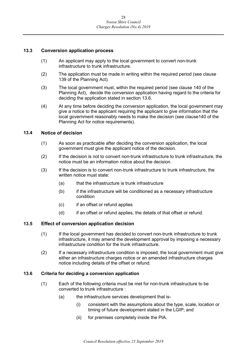#### <span id="page-27-0"></span>**13.3 Conversion application process**

- (1) An applicant may apply to the local government to convert non-trunk infrastructure to trunk infrastructure.
- (2) The application must be made in writing within the required period (see clause 139 of the Planning Act).
- (3) The local government must, within the required period (see clause 140 of the Planning Act), decide the conversion application having regard to the criteria for deciding the application stated in section 13.6.
- (4) At any time before deciding the conversion application, the local government may give a notice to the applicant requiring the applicant to give information that the local government reasonably needs to make the decision (see clause140 of the Planning Act for notice requirements).

#### <span id="page-27-1"></span>**13.4 Notice of decision**

- (1) As soon as practicable after deciding the conversion application, the local government must give the applicant notice of the decision.
- (2) If the decision is not to convert non-trunk infrastructure to trunk infrastructure, the notice must be an information notice about the decision.
- (3) If the decision is to convert non-trunk infrastructure to trunk infrastructure, the written notice must state:
	- (a) that the infrastructure is trunk infrastructure
	- (b) if the infrastructure will be conditioned as a necessary infrastructure condition
	- (c) if an offset or refund applies
	- (d) if an offset or refund applies, the details of that offset or refund.

#### <span id="page-27-2"></span>**13.5 Effect of conversion application decision**

- (1) If the local government has decided to convert non-trunk infrastructure to trunk infrastructure, it may amend the development approval by imposing a necessary infrastructure condition for the trunk infrastructure.
- (2) If a necessary infrastructure condition is imposed, the local government must give either an infrastructure charges notice or an amended infrastructure charges notice including details of the offset or refund.

#### <span id="page-27-3"></span>**13.6 Criteria for deciding a conversion application**

- (1) Each of the following criteria must be met for non-trunk infrastructure to be converted to trunk infrastructure :
	- (a) the infrastructure services development that is-
		- (i) consistent with the assumptions about the type, scale, location or timing of future development stated in the LGIP; and
		- (ii) for premises completely inside the PIA.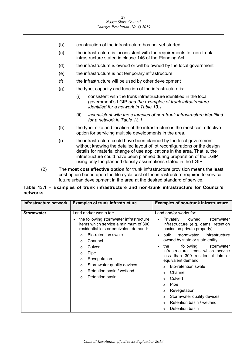- (b) construction of the infrastructure has not yet started
- (c) the infrastructure is inconsistent with the requirements for non-trunk infrastructure stated in clause 145 of the Planning Act.
- (d) the infrastructure is owned or will be owned by the local government
- (e) the infrastructure is not temporary infrastructure
- (f) the infrastructure will be used by other development
- $(g)$  the type, capacity and function of the infrastructure is:
	- (i) consistent with the trunk infrastructure identified in the local government's LGIP *and the examples of trunk infrastructure identified for a network in Table 13.1*
	- (ii) *inconsistent with the examples of non-trunk infrastructure identified for a network in Table 13.1*
- (h) the type, size and location of the infrastructure is the most cost effective option for servicing multiple developments in the area.
- (i) the infrastructure could have been planned by the local government without knowing the detailed layout of lot reconfigurations or the design details for material change of use applications in the area. That is, the infrastructure could have been planned during preparation of the LGIP using only the planned density assumptions stated in the LGIP.
- (2) The **most cost effective option** for trunk infrastructure provision means the least cost option based upon the life cycle cost of the infrastructure required to service future urban development in the area at the desired standard of service.

#### **Table 13.1 – Examples of trunk infrastructure and non-trunk infrastructure for Council's networks**

| Infrastructure network | <b>Examples of trunk infrastructure</b>                                                                                                                                                                                                                                                                                                                                                            | <b>Examples of non-trunk infrastructure</b>                                                                                                                                                                                                                                                                                                                                                                                                                                                                                                                                |
|------------------------|----------------------------------------------------------------------------------------------------------------------------------------------------------------------------------------------------------------------------------------------------------------------------------------------------------------------------------------------------------------------------------------------------|----------------------------------------------------------------------------------------------------------------------------------------------------------------------------------------------------------------------------------------------------------------------------------------------------------------------------------------------------------------------------------------------------------------------------------------------------------------------------------------------------------------------------------------------------------------------------|
| <b>Stormwater</b>      | Land and/or works for:<br>the following stormwater infrastructure<br>items which service a minimum of 300<br>residential lots or equivalent demand:<br><b>Bio-retention swale</b><br>$\circ$<br>Channel<br>$\Omega$<br>Culvert<br>$\Omega$<br>Pipe<br>O<br>Revegetation<br>$\circ$<br>Stormwater quality devices<br>$\circ$<br>Retention basin / wetland<br>$\Omega$<br>Detention basin<br>$\circ$ | Land and/or works for:<br>Privately<br>stormwater<br>owned<br>$\bullet$<br>infrastructure (e.g. dams, retention<br>basins on private property)<br>stormwater<br>infrastructure<br>bulk<br>owned by state or state entity<br>following<br>stormwater<br>the<br>$\bullet$<br>infrastructure items which service<br>less than 300 residential lots or<br>equivalent demand:<br>Bio-retention swale<br>O<br>Channel<br>O<br>Culvert<br>O<br>Pipe<br>O<br>Revegetation<br>O<br>Stormwater quality devices<br>O<br>Retention basin / wetland<br>$\Omega$<br>Detention basin<br>O |